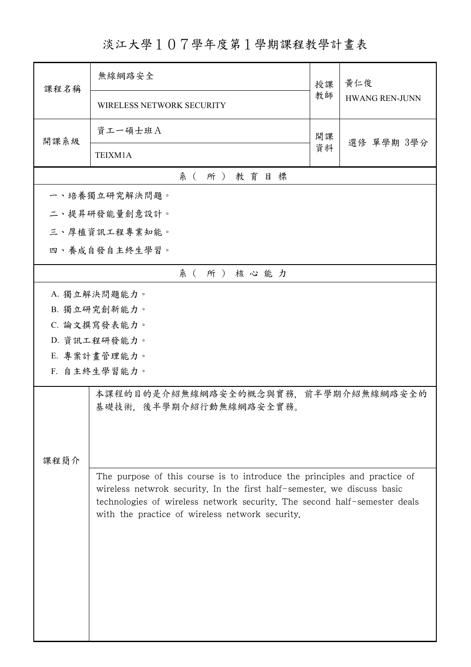淡江大學107學年度第1學期課程教學計畫表

| 課程名稱                                                                      | 無線網路安全                                                                                                                                               | 授課 | 黃仁俊<br><b>HWANG REN-JUNN</b> |  |  |  |  |
|---------------------------------------------------------------------------|------------------------------------------------------------------------------------------------------------------------------------------------------|----|------------------------------|--|--|--|--|
|                                                                           | WIRELESS NETWORK SECURITY                                                                                                                            | 教師 |                              |  |  |  |  |
| 開課系級                                                                      | 資工一碩士班A                                                                                                                                              |    | 選修 單學期 3學分                   |  |  |  |  |
|                                                                           | TEIXM1A                                                                                                                                              | 資料 |                              |  |  |  |  |
|                                                                           | 系(所)教育目標                                                                                                                                             |    |                              |  |  |  |  |
|                                                                           | 一、培養獨立研究解決問題。                                                                                                                                        |    |                              |  |  |  |  |
|                                                                           | 二、提昇研發能量創意設計。                                                                                                                                        |    |                              |  |  |  |  |
|                                                                           | 三、厚植資訊工程專業知能。                                                                                                                                        |    |                              |  |  |  |  |
|                                                                           | 四、養成自發自主終生學習。                                                                                                                                        |    |                              |  |  |  |  |
|                                                                           | 系(所)核心能力                                                                                                                                             |    |                              |  |  |  |  |
|                                                                           | A. 獨立解決問題能力。                                                                                                                                         |    |                              |  |  |  |  |
|                                                                           | B. 獨立研究創新能力。                                                                                                                                         |    |                              |  |  |  |  |
|                                                                           | C. 論文撰寫發表能力。                                                                                                                                         |    |                              |  |  |  |  |
|                                                                           | D. 資訊工程研發能力。                                                                                                                                         |    |                              |  |  |  |  |
|                                                                           | E. 專案計畫管理能力。                                                                                                                                         |    |                              |  |  |  |  |
|                                                                           | F. 自主終生學習能力。                                                                                                                                         |    |                              |  |  |  |  |
|                                                                           | 本課程的目的是介紹無線網路安全的概念與實務,前半學期介紹無線網路安全的                                                                                                                  |    |                              |  |  |  |  |
|                                                                           | 基礎技術. 後半學期介紹行動無線網路安全實務。                                                                                                                              |    |                              |  |  |  |  |
|                                                                           |                                                                                                                                                      |    |                              |  |  |  |  |
|                                                                           |                                                                                                                                                      |    |                              |  |  |  |  |
| 課程簡介                                                                      |                                                                                                                                                      |    |                              |  |  |  |  |
| The purpose of this course is to introduce the principles and practice of |                                                                                                                                                      |    |                              |  |  |  |  |
|                                                                           | wireless netwrok security. In the first half-semester, we discuss basic<br>technologies of wireless network security. The second half-semester deals |    |                              |  |  |  |  |
|                                                                           | with the practice of wireless network security.                                                                                                      |    |                              |  |  |  |  |
|                                                                           |                                                                                                                                                      |    |                              |  |  |  |  |
|                                                                           |                                                                                                                                                      |    |                              |  |  |  |  |
|                                                                           |                                                                                                                                                      |    |                              |  |  |  |  |
|                                                                           |                                                                                                                                                      |    |                              |  |  |  |  |
|                                                                           |                                                                                                                                                      |    |                              |  |  |  |  |
|                                                                           |                                                                                                                                                      |    |                              |  |  |  |  |
|                                                                           |                                                                                                                                                      |    |                              |  |  |  |  |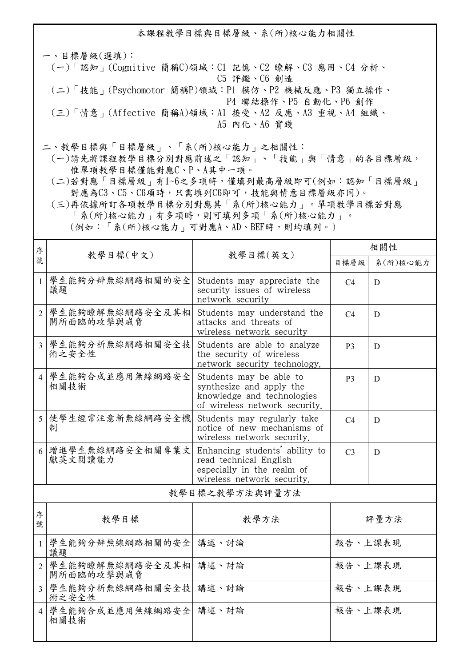本課程教學目標與目標層級、系(所)核心能力相關性

一、目標層級(選填): (一)「認知」(Cognitive 簡稱C)領域:C1 記憶、C2 瞭解、C3 應用、C4 分析、 C5 評鑑、C6 創造 (二)「技能」(Psychomotor 簡稱P)領域:P1 模仿、P2 機械反應、P3 獨立操作、 P4 聯結操作、P5 自動化、P6 創作 (三)「情意」(Affective 簡稱A)領域:A1 接受、A2 反應、A3 重視、A4 組織、 A5 內化、A6 實踐

二、教學目標與「目標層級」、「系(所)核心能力」之相關性:

 (一)請先將課程教學目標分別對應前述之「認知」、「技能」與「情意」的各目標層級, 惟單項教學目標僅能對應C、P、A其中一項。

 (二)若對應「目標層級」有1~6之多項時,僅填列最高層級即可(例如:認知「目標層級」 對應為C3、C5、C6項時,只需填列C6即可,技能與情意目標層級亦同)。

 (三)再依據所訂各項教學目標分別對應其「系(所)核心能力」。單項教學目標若對應 「系(所)核心能力」有多項時,則可填列多項「系(所)核心能力」。

 (例如:「系(所)核心能力」可對應A、AD、BEF時,則均填列。) <sup>分</sup> | 教學目標(中文) | 教學目標(英文) <sup>序</sup> 相關性 目標層級 系(所)核心能力 1 學生能夠分辨無線網路相關的安全 議題 Students may appreciate the security issues of wireless network security  $C4$  D 2 學生能夠瞭解無線網路安全及其相 關所面臨的攻擊與威脅 Students may understand the attacks and threats of wireless network security  $C4$  D 3 學生能夠分析無線網路相關安全技 術之安全性 Students are able to analyze the security of wireless network security technology.  $\mathsf{P3}$  D 4 學生能夠合成並應用無線網路安全 相關技術 Students may be able to synthesize and apply the knowledge and technologies of wireless network security.  $\mathsf{P}3$  D 5 使學生經常注意新無線網路安全機 制 Students may regularly take notice of new mechanisms of wireless network security.  $C4$  D 6 增進學生無線網路安全相關專業文 獻英文閱讀能力 Enhancing students' ability to read technical English especially in the realm of wireless network security.  $C3 \square D$ 教學目標之教學方法與評量方法

| 序<br>號         | 教學目標                          | 教學方法  | 評量方法    |
|----------------|-------------------------------|-------|---------|
|                | 學生能夠分辨無線網路相關的安全<br>議題         | 講述、討論 | 報告、上課表現 |
| $\overline{2}$ | 學生能夠瞭解無線網路安全及其相<br>關所面臨的攻擊與威脅 | 講述、討論 | 報告、上課表現 |
| 3              | 學生能夠分析無線網路相關安全技 <br>術之安全性     | 講述、討論 | 報告、上課表現 |
| $\overline{4}$ | 學生能夠合成並應用無線網路安全 講述、討論<br>相關技術 |       | 報告、上課表現 |
|                |                               |       |         |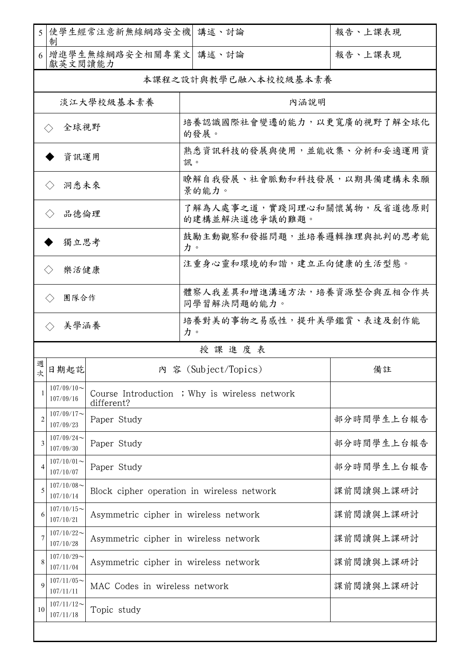| 5  使學生經常注意新無線網路安全機 <br>講述、討論<br>制                                         |                                           | 報告、上課表現                                                     |                                              |            |  |  |  |
|---------------------------------------------------------------------------|-------------------------------------------|-------------------------------------------------------------|----------------------------------------------|------------|--|--|--|
| 6 增進學生無線網路安全相關專業文 <br>獻英文閱讀能力                                             |                                           |                                                             | 講述、討論                                        | 報告、上課表現    |  |  |  |
|                                                                           | 本課程之設計與教學已融入本校校級基本素養                      |                                                             |                                              |            |  |  |  |
|                                                                           | 淡江大學校級基本素養                                |                                                             | 內涵說明                                         |            |  |  |  |
| 全球視野<br>$\left\langle \ \right\rangle$                                    |                                           |                                                             | 培養認識國際社會變遷的能力,以更寬廣的視野了解全球化<br>的發展。           |            |  |  |  |
| 資訊運用                                                                      |                                           |                                                             | 熟悉資訊科技的發展與使用,並能收集、分析和妥適運用資<br>訊。             |            |  |  |  |
| 洞悉未來<br>$\left\langle \right\rangle$                                      |                                           |                                                             | 瞭解自我發展、社會脈動和科技發展,以期具備建構未來願<br>景的能力。          |            |  |  |  |
| 品德倫理<br>$\langle \ \rangle$                                               |                                           |                                                             | 了解為人處事之道,實踐同理心和關懷萬物,反省道德原則<br>的建構並解決道德爭議的難題。 |            |  |  |  |
| 獨立思考                                                                      |                                           |                                                             | 鼓勵主動觀察和發掘問題,並培養邏輯推理與批判的思考能<br>力。             |            |  |  |  |
| 樂活健康<br>$\langle \rangle$                                                 |                                           |                                                             | 注重身心靈和環境的和諧,建立正向健康的生活型態。                     |            |  |  |  |
| 團隊合作<br>$\left\langle \ \right\rangle$                                    |                                           | 體察人我差異和增進溝通方法,培養資源整合與互相合作共<br>同學習解決問題的能力。                   |                                              |            |  |  |  |
| 培養對美的事物之易感性,提升美學鑑賞、表達及創作能<br>美學涵養<br>$\left\langle \ \right\rangle$<br>力。 |                                           |                                                             |                                              |            |  |  |  |
|                                                                           |                                           |                                                             | 授課進度表                                        |            |  |  |  |
| 週<br>次                                                                    | 日期起訖                                      |                                                             | 内 容 (Subject/Topics)                         | 備註         |  |  |  |
| 1                                                                         | $107/09/10$ ~<br>107/09/16                | Course Introduction ; Why is wireless network<br>different? |                                              |            |  |  |  |
| $\overline{2}$                                                            | $107/09/17$ ~<br>107/09/23                | Paper Study                                                 |                                              | 部分時間學生上台報告 |  |  |  |
| 3                                                                         | $107/09/24$ ~<br>Paper Study<br>107/09/30 |                                                             | 部分時間學生上台報告                                   |            |  |  |  |
| 4                                                                         | $107/10/01$ ~<br>107/10/07                | Paper Study                                                 |                                              | 部分時間學生上台報告 |  |  |  |
| 5                                                                         | $107/10/08$ ~<br>107/10/14                | Block cipher operation in wireless network                  |                                              | 課前閱讀與上課研討  |  |  |  |
| 6                                                                         | $107/10/15$ ~<br>107/10/21                | Asymmetric cipher in wireless network                       |                                              | 課前閱讀與上課研討  |  |  |  |
| 7                                                                         | $107/10/22$ ~<br>107/10/28                | Asymmetric cipher in wireless network                       |                                              | 課前閱讀與上課研討  |  |  |  |
| 8                                                                         | $107/10/29$ ~<br>107/11/04                | Asymmetric cipher in wireless network                       |                                              | 課前閱讀與上課研討  |  |  |  |
| $\mathbf Q$                                                               | $107/11/05$ ~<br>107/11/11                | MAC Codes in wireless network                               |                                              | 課前閱讀與上課研討  |  |  |  |
| 10                                                                        | $107/11/12$ ~<br>107/11/18                | Topic study                                                 |                                              |            |  |  |  |
|                                                                           |                                           |                                                             |                                              |            |  |  |  |